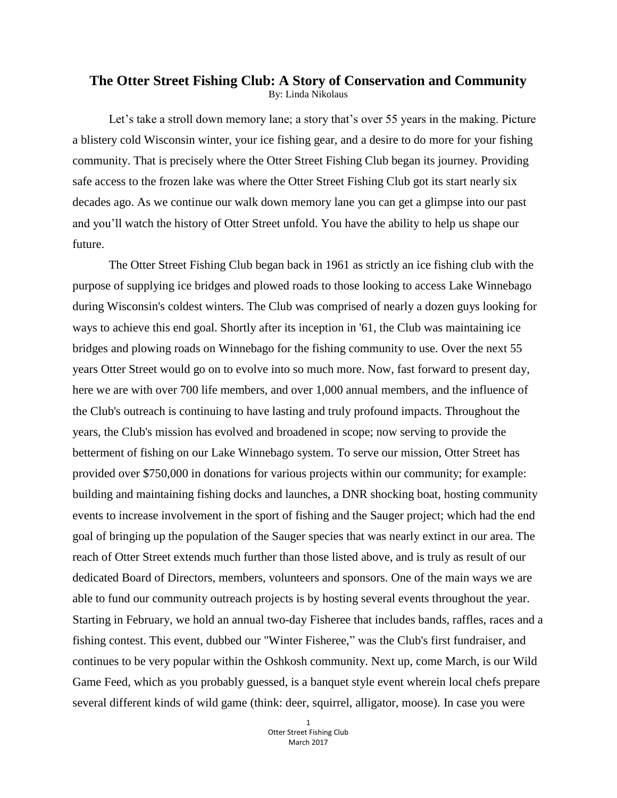## **The Otter Street Fishing Club: A Story of Conservation and Community** By: Linda Nikolaus

Let's take a stroll down memory lane; a story that's over 55 years in the making. Picture a blistery cold Wisconsin winter, your ice fishing gear, and a desire to do more for your fishing community. That is precisely where the Otter Street Fishing Club began its journey. Providing safe access to the frozen lake was where the Otter Street Fishing Club got its start nearly six decades ago. As we continue our walk down memory lane you can get a glimpse into our past and you'll watch the history of Otter Street unfold. You have the ability to help us shape our future.

The Otter Street Fishing Club began back in 1961 as strictly an ice fishing club with the purpose of supplying ice bridges and plowed roads to those looking to access Lake Winnebago during Wisconsin's coldest winters. The Club was comprised of nearly a dozen guys looking for ways to achieve this end goal. Shortly after its inception in '61, the Club was maintaining ice bridges and plowing roads on Winnebago for the fishing community to use. Over the next 55 years Otter Street would go on to evolve into so much more. Now, fast forward to present day, here we are with over 700 life members, and over 1,000 annual members, and the influence of the Club's outreach is continuing to have lasting and truly profound impacts. Throughout the years, the Club's mission has evolved and broadened in scope; now serving to provide the betterment of fishing on our Lake Winnebago system. To serve our mission, Otter Street has provided over \$750,000 in donations for various projects within our community; for example: building and maintaining fishing docks and launches, a DNR shocking boat, hosting community events to increase involvement in the sport of fishing and the Sauger project; which had the end goal of bringing up the population of the Sauger species that was nearly extinct in our area. The reach of Otter Street extends much further than those listed above, and is truly as result of our dedicated Board of Directors, members, volunteers and sponsors. One of the main ways we are able to fund our community outreach projects is by hosting several events throughout the year. Starting in February, we hold an annual two-day Fisheree that includes bands, raffles, races and a fishing contest. This event, dubbed our "Winter Fisheree," was the Club's first fundraiser, and continues to be very popular within the Oshkosh community. Next up, come March, is our Wild Game Feed, which as you probably guessed, is a banquet style event wherein local chefs prepare several different kinds of wild game (think: deer, squirrel, alligator, moose). In case you were